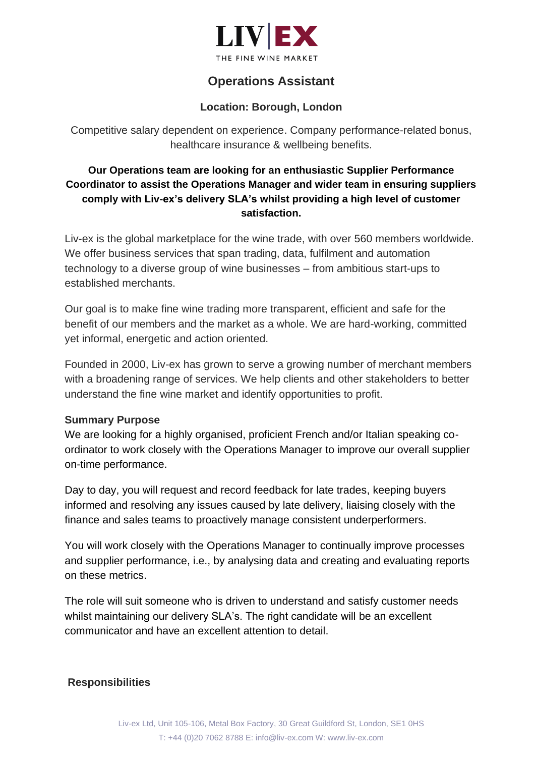

# **Operations Assistant**

### **Location: Borough, London**

Competitive salary dependent on experience. Company performance-related bonus, healthcare insurance & wellbeing benefits.

# **Our Operations team are looking for an enthusiastic Supplier Performance Coordinator to assist the Operations Manager and wider team in ensuring suppliers comply with Liv-ex's delivery SLA's whilst providing a high level of customer satisfaction.**

Liv-ex is the global marketplace for the wine trade, with over 560 members worldwide. We offer business services that span trading, data, fulfilment and automation technology to a diverse group of wine businesses – from ambitious start-ups to established merchants.

Our goal is to make fine wine trading more transparent, efficient and safe for the benefit of our members and the market as a whole. We are hard-working, committed yet informal, energetic and action oriented.

Founded in 2000, Liv-ex has grown to serve a growing number of merchant members with a broadening range of services. We help clients and other stakeholders to better understand the fine wine market and identify opportunities to profit.

#### **Summary Purpose**

We are looking for a highly organised, proficient French and/or Italian speaking coordinator to work closely with the Operations Manager to improve our overall supplier on-time performance.

Day to day, you will request and record feedback for late trades, keeping buyers informed and resolving any issues caused by late delivery, liaising closely with the finance and sales teams to proactively manage consistent underperformers.

You will work closely with the Operations Manager to continually improve processes and supplier performance, i.e., by analysing data and creating and evaluating reports on these metrics.

The role will suit someone who is driven to understand and satisfy customer needs whilst maintaining our delivery SLA's. The right candidate will be an excellent communicator and have an excellent attention to detail.

### **Responsibilities**